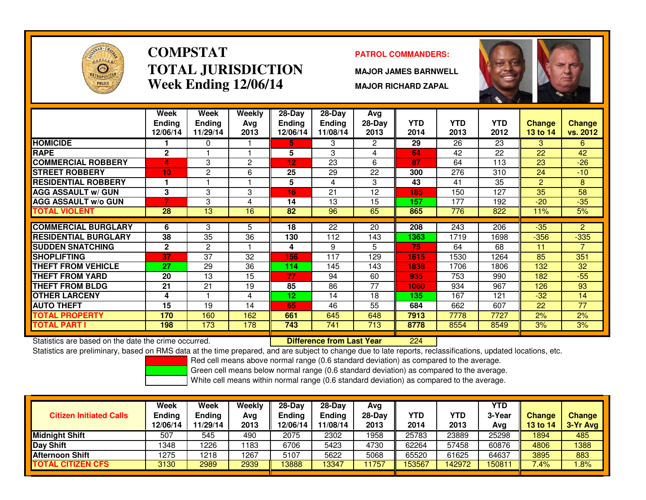

# **COMPSTATTOTAL JURISDICTIONWeek Ending 12/06/14**

### **PATROL COMMANDERS:**

**MAJOR JAMES BARNWELL**

**MAJOR RICHARD ZAPAL**



|                             | Week<br><b>Ending</b><br>12/06/14 | <b>Week</b><br><b>Ending</b><br>11/29/14 | Weekly<br>Avg<br>2013 | $28 - Day$<br><b>Ending</b><br>12/06/14 | $28 - Day$<br><b>Ending</b><br>11/08/14 | Avg<br>$28-Day$<br>2013 | <b>YTD</b><br>2014 | <b>YTD</b><br>2013 | <b>YTD</b><br>2012 | <b>Change</b><br>13 to 14 | <b>Change</b><br>vs. 2012 |
|-----------------------------|-----------------------------------|------------------------------------------|-----------------------|-----------------------------------------|-----------------------------------------|-------------------------|--------------------|--------------------|--------------------|---------------------------|---------------------------|
| <b>HOMICIDE</b>             |                                   | 0                                        |                       | 5.                                      | 3                                       | $\overline{2}$          | 29                 | 26                 | 23                 | 3                         | 6                         |
| <b>RAPE</b>                 | $\mathbf{2}$                      |                                          |                       | 5                                       | 3                                       | 4                       | 64                 | 42                 | 22                 | 22                        | 42                        |
| <b>COMMERCIAL ROBBERY</b>   | 4                                 | 3                                        | 2                     | 12                                      | 23                                      | 6                       | 87                 | 64                 | $\overline{113}$   | 23                        | $-26$                     |
| <b>STREET ROBBERY</b>       | 10 <sub>1</sub>                   | 2                                        | 6                     | 25                                      | 29                                      | 22                      | 300                | 276                | 310                | 24                        | $-10$                     |
| <b>RESIDENTIAL ROBBERY</b>  |                                   |                                          |                       | 5                                       | 4                                       | 3                       | 43                 | 41                 | 35                 | 2                         | 8                         |
| <b>AGG ASSAULT w/ GUN</b>   | 3                                 | 3                                        | 3                     | 16                                      | 21                                      | 12                      | 185                | 150                | 127                | 35                        | 58                        |
| <b>AGG ASSAULT w/o GUN</b>  | $\overline{\phantom{a}}$          | 3                                        | 4                     | 14                                      | 13                                      | 15                      | 157                | 177                | 192                | $-20$                     | $-35$                     |
| <b>TOTAL VIOLENT</b>        | 28                                | 13                                       | 16                    | 82                                      | 96                                      | 65                      | 865                | 776                | 822                | 11%                       | 5%                        |
| <b>COMMERCIAL BURGLARY</b>  | 6                                 | 3                                        | 5                     | 18                                      | 22                                      | 20                      | 208                | 243                | 206                | $-35$                     | $\overline{2}$            |
| <b>RESIDENTIAL BURGLARY</b> | 38                                | 35                                       | 36                    | 130                                     | 112                                     | 143                     | 1363               | 1719               | 1698               | $-356$                    | $-335$                    |
| <b>SUDDEN SNATCHING</b>     | $\mathbf{2}$                      | $\overline{2}$                           |                       | 4                                       | 9                                       | 5                       | 75                 | 64                 | 68                 | 11                        | 7                         |
| <b>SHOPLIFTING</b>          | 37                                | 37                                       | 32                    | 156                                     | 117                                     | 129                     | 1615               | 1530               | 1264               | 85                        | 351                       |
| <b>THEFT FROM VEHICLE</b>   | 27                                | 29                                       | 36                    | 114                                     | 145                                     | 143                     | 1838               | 1706               | 1806               | 132                       | 32                        |
| <b>THEFT FROM YARD</b>      | 20                                | 13                                       | 15                    | 77                                      | 94                                      | 60                      | 935                | 753                | 990                | 182                       | $-55$                     |
| <b>THEFT FROM BLDG</b>      | 21                                | 21                                       | 19                    | 85                                      | 86                                      | 77                      | 1060               | 934                | 967                | 126                       | 93                        |
| <b>OTHER LARCENY</b>        | 4                                 |                                          | 4                     | 12 <sub>2</sub>                         | 14                                      | 18                      | 135                | 167                | 121                | $-32$                     | 14                        |
| <b>AUTO THEFT</b>           | 15                                | 19                                       | 14                    | 65                                      | 46                                      | 55                      | 684                | 662                | 607                | 22                        | $\overline{77}$           |
| <b>TOTAL PROPERTY</b>       | 170                               | 160                                      | 162                   | 661                                     | 645                                     | 648                     | 7913               | 7778               | 7727               | 2%                        | 2%                        |
| <b>TOTAL PART I</b>         | 198                               | 173                                      | 178                   | 743                                     | 741                                     | 713                     | 8778               | 8554               | 8549               | 3%                        | 3%                        |

Statistics are based on the date the crime occurred. **Difference from Last Year** 

<sup>224</sup>

Statistics are preliminary, based on RMS data at the time prepared, and are subject to change due to late reports, reclassifications, updated locations, etc.

Red cell means above normal range (0.6 standard deviation) as compared to the average.

Green cell means below normal range (0.6 standard deviation) as compared to the average.

| <b>Citizen Initiated Calls</b> | Week<br><b>Ending</b><br>12/06/14 | Week<br>Ending<br>11/29/14 | Weekly<br>Avg<br>2013 | $28-Dav$<br>Ending<br>12/06/14 | $28 - Day$<br><b>Ending</b><br>11/08/14 | Avg<br>$28-Dav$<br>2013 | YTD<br>2014 | <b>YTD</b><br>2013 | <b>YTD</b><br>3-Year<br>Avg | <b>Change</b><br><b>13 to 14</b> | <b>Change</b><br>3-Yr Avg |
|--------------------------------|-----------------------------------|----------------------------|-----------------------|--------------------------------|-----------------------------------------|-------------------------|-------------|--------------------|-----------------------------|----------------------------------|---------------------------|
| <b>Midnight Shift</b>          | 507                               | 545                        | 490                   | 2075                           | 2302                                    | 1958                    | 25783       | 23889              | 25298                       | 1894                             | 485                       |
| <b>Day Shift</b>               | 1348                              | 1226                       | 183                   | 6706                           | 5423                                    | 4730                    | 62264       | 57458              | 60876                       | 4806                             | 1388                      |
| <b>Afternoon Shift</b>         | 1275                              | 1218                       | 1267                  | 5107                           | 5622                                    | 5068                    | 65520       | 61625              | 64637                       | 3895                             | 883                       |
| <b>TOTAL CITIZEN CFS</b>       | 3130                              | 2989                       | 2939                  | 13888                          | 13347                                   | 1757                    | 53567       | 142972             | 150811                      | 7.4%                             | .8%                       |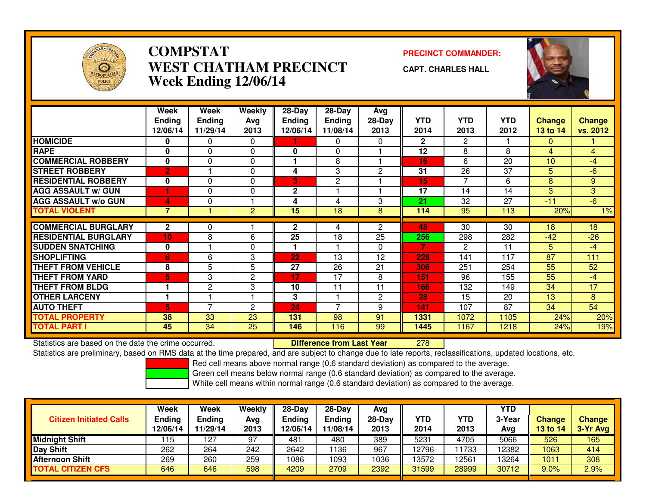

### **COMPSTATPRECINCT COMMANDER:**<br>A TITLA NALIDED TO TALCINE OF THE COMMAND PRECINCT OF THE COMMAND OF THE COMMAND OF THE COMMAND OF THE COMMAND OF THE COMMAND OF THE COMMAND OF THE COMMAND OF THE COMMAND OF THE COMMAND OF THE COMMAND **WEST CHATHAM PRECINCTWeek Ending 12/06/14**

**CAPT. CHARLES HALL**



|                             | Week                      | Week                      | <b>Weekly</b>  | $28 - Day$                | $28 - Day$                | Avg            |                    |                    |                    |                           |                           |
|-----------------------------|---------------------------|---------------------------|----------------|---------------------------|---------------------------|----------------|--------------------|--------------------|--------------------|---------------------------|---------------------------|
|                             | <b>Ending</b><br>12/06/14 | <b>Ending</b><br>11/29/14 | Avg<br>2013    | <b>Ending</b><br>12/06/14 | <b>Ending</b><br>11/08/14 | 28-Day<br>2013 | <b>YTD</b><br>2014 | <b>YTD</b><br>2013 | <b>YTD</b><br>2012 | <b>Change</b><br>13 to 14 | <b>Change</b><br>vs. 2012 |
|                             |                           |                           |                |                           |                           |                |                    |                    |                    |                           |                           |
| <b>HOMICIDE</b>             | 0                         | 0                         | 0              |                           | $\mathbf{0}$              | 0              | $\mathbf{2}$       | $\overline{2}$     |                    | $\mathbf{0}$              |                           |
| <b>RAPE</b>                 | 0                         | $\Omega$                  | $\Omega$       | 0                         | $\Omega$                  |                | 12                 | 8                  | 8                  | $\overline{4}$            | $\overline{4}$            |
| <b>COMMERCIAL ROBBERY</b>   | 0                         | $\Omega$                  | $\Omega$       |                           | 8                         |                | 16                 | 6                  | 20                 | 10                        | $-4$                      |
| <b>STREET ROBBERY</b>       | $\overline{2}$            |                           | $\Omega$       | 4                         | 3                         | $\overline{2}$ | 31                 | 26                 | 37                 | 5                         | $-6$                      |
| <b>RESIDENTIAL ROBBERY</b>  | $\mathbf 0$               | $\Omega$                  | $\Omega$       | 3                         | $\mathbf{2}$              |                | 15                 | $\overline{7}$     | 6                  | 8                         | 9                         |
| <b>AGG ASSAULT w/ GUN</b>   |                           | 0                         | $\Omega$       | $\mathbf 2$               |                           |                | 17                 | 14                 | 14                 | 3                         | 3                         |
| <b>AGG ASSAULT w/o GUN</b>  | 4                         | 0                         |                | 4                         | 4                         | 3              | 21                 | 32                 | 27                 | $-11$                     | $-6$                      |
| <b>TOTAL VIOLENT</b>        | $\overline{7}$            |                           | $\overline{2}$ | 15                        | 18                        | 8              | 114                | 95                 | 113                | 20%                       | 1%                        |
|                             |                           |                           |                |                           |                           |                |                    |                    |                    |                           |                           |
| <b>COMMERCIAL BURGLARY</b>  | $\mathbf{2}$              | 0                         |                | 2                         | 4                         | $\overline{2}$ | 48                 | 30                 | 30                 | 18                        | 18                        |
| <b>RESIDENTIAL BURGLARY</b> | 10 <sub>1</sub>           | 8                         | 6              | $\overline{25}$           | 18                        | 25             | 256                | 298                | 282                | $-42$                     | $-26$                     |
| <b>SUDDEN SNATCHING</b>     | $\mathbf 0$               |                           | $\Omega$       |                           |                           | $\Omega$       | 7                  | 2                  | 11                 | 5                         | $-4$                      |
| <b>SHOPLIFTING</b>          | 6                         | 6                         | 3              | 22                        | 13                        | 12             | 228                | 141                | 117                | 87                        | 111                       |
| <b>THEFT FROM VEHICLE</b>   | 8                         | 5                         | 5              | 27                        | 26                        | 21             | 306                | 251                | 254                | 55                        | 52                        |
| <b>THEFT FROM YARD</b>      | 5                         | 3                         | 2              | 17                        | 17                        | 8              | 151                | 96                 | 155                | 55                        | $-4$                      |
| <b>THEFT FROM BLDG</b>      |                           | 2                         | 3              | 10                        | 11                        | 11             | 166                | 132                | 149                | 34                        | 17                        |
| <b>OTHER LARCENY</b>        |                           |                           |                | 3                         |                           | $\overline{2}$ | 28                 | 15                 | 20                 | 13                        | 8                         |
| <b>AUTO THEFT</b>           | 5                         | 7                         | 2              | 24                        | $\overline{ }$            | 9              | 141                | 107                | 87                 | 34                        | 54                        |
| <b>TOTAL PROPERTY</b>       | 38                        | 33                        | 23             | 131                       | 98                        | 91             | 1331               | 1072               | 1105               | 24%                       | 20%                       |
| <b>TOTAL PART I</b>         | 45                        | 34                        | 25             | 146                       | 116                       | 99             | 1445               | 1167               | 1218               | 24%                       | 19%                       |

Statistics are based on the date the crime occurred. **Difference from Last Year** 

<sup>278</sup>

Statistics are preliminary, based on RMS data at the time prepared, and are subject to change due to late reports, reclassifications, updated locations, etc.

Red cell means above normal range (0.6 standard deviation) as compared to the average.

Green cell means below normal range (0.6 standard deviation) as compared to the average.

| <b>Citizen Initiated Calls</b> | Week<br>Ending<br>12/06/14 | Week<br>Ending<br>11/29/14 | Weekly<br>Avg<br>2013 | $28-Day$<br>Ending<br>12/06/14 | 28-Day<br><b>Ending</b><br>11/08/14 | Avg<br>$28-Dav$<br>2013 | YTD<br>2014 | YTD<br>2013 | YTD<br>3-Year<br>Avg | <b>Change</b><br>13 to 14 | <b>Change</b><br>3-Yr Avg |
|--------------------------------|----------------------------|----------------------------|-----------------------|--------------------------------|-------------------------------------|-------------------------|-------------|-------------|----------------------|---------------------------|---------------------------|
| <b>Midnight Shift</b>          | 115                        | 127                        | 97                    | 481                            | 480                                 | 389                     | 5231        | 4705        | 5066                 | 526                       | 165                       |
| Day Shift                      | 262                        | 264                        | 242                   | 2642                           | 136                                 | 967                     | 12796       | 1733        | 12382                | 1063                      | 414                       |
| <b>Afternoon Shift</b>         | 269                        | 260                        | 259                   | 1086                           | 1093                                | 1036                    | 13572       | 2561        | 13264                | 1011                      | 308                       |
| <b>TOTAL CITIZEN CFS</b>       | 646                        | 646                        | 598                   | 4209                           | 2709                                | 2392                    | 31599       | 28999       | 30712                | 9.0%                      | 2.9%                      |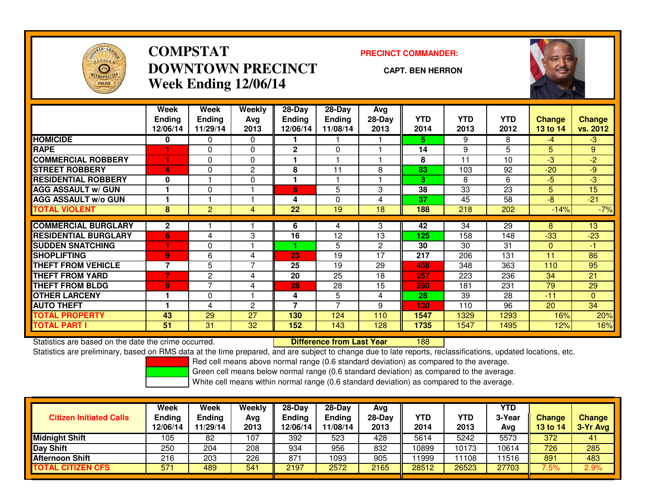

# **COMPSTATDOWNTOWN PRECINCTWeek Ending 12/06/14**

### **PRECINCT COMMANDER:**

#### **CAPT. BEN HERRON**

<sup>188</sup>



|                             | Week<br><b>Ending</b><br>12/06/14 | Week<br><b>Ending</b><br>11/29/14 | <b>Weekly</b><br>Avg<br>2013 | $28 - Day$<br><b>Ending</b><br>12/06/14 | $28-Day$<br><b>Ending</b><br>11/08/14 | Avg<br>28-Day<br>2013 | <b>YTD</b><br>2014 | YTD<br>2013 | <b>YTD</b><br>2012 | <b>Change</b><br>13 to 14 | <b>Change</b><br>vs. 2012 |
|-----------------------------|-----------------------------------|-----------------------------------|------------------------------|-----------------------------------------|---------------------------------------|-----------------------|--------------------|-------------|--------------------|---------------------------|---------------------------|
| <b>HOMICIDE</b>             | 0                                 | 0                                 | 0                            |                                         |                                       |                       | 5.                 | 9           | 8                  | $-4$                      | $-3$                      |
| <b>RAPE</b>                 |                                   | 0                                 | $\Omega$                     | $\mathbf{2}$                            | $\Omega$                              |                       | 14                 | 9           | 5                  | 5                         | 9                         |
| <b>COMMERCIAL ROBBERY</b>   |                                   | 0                                 | $\mathbf 0$                  |                                         |                                       |                       | 8                  | 11          | 10                 | -3                        | $-2$                      |
| <b>STREET ROBBERY</b>       | $\boldsymbol{\Delta}$             | 0                                 | 2                            | 8                                       | 11                                    | 8                     | 83                 | 103         | 92                 | $-20$                     | $-9$                      |
| <b>RESIDENTIAL ROBBERY</b>  | 0                                 |                                   | 0                            |                                         |                                       |                       | 3                  | 8           | 6                  | $-5$                      | $-3$                      |
| <b>AGG ASSAULT w/ GUN</b>   |                                   | 0                                 |                              | 5                                       | 5                                     | 3                     | 38                 | 33          | 23                 | 5                         | 15                        |
| <b>AGG ASSAULT w/o GUN</b>  |                                   |                                   |                              | 4                                       | $\Omega$                              | 4                     | 37                 | 45          | 58                 | $-8$                      | $-21$                     |
| <b>TOTAL VIOLENT</b>        | 8                                 | $\overline{2}$                    | 4                            | 22                                      | 19                                    | $\overline{18}$       | 188                | 218         | 202                | $-14%$                    | $-7%$                     |
|                             |                                   |                                   |                              |                                         |                                       |                       |                    |             |                    |                           |                           |
| <b>COMMERCIAL BURGLARY</b>  | $\mathbf{2}$                      |                                   |                              | 6                                       | 4                                     | 3                     | 42                 | 34          | 29                 | 8                         | 13                        |
| <b>RESIDENTIAL BURGLARY</b> | 6                                 | 4                                 | 3                            | 16                                      | 12                                    | 13                    | 125                | 158         | 148                | $-33$                     | $-23$                     |
| <b>SUDDEN SNATCHING</b>     |                                   | 0                                 |                              |                                         | 5                                     | $\overline{2}$        | 30                 | 30          | 31                 | $\mathbf{0}$              | -1                        |
| <b>SHOPLIFTING</b>          | 9                                 | 6                                 | 4                            | 23                                      | 19                                    | 17                    | 217                | 206         | 131                | 11                        | 86                        |
| <b>THEFT FROM VEHICLE</b>   | $\overline{7}$                    | 5                                 | 7                            | 25                                      | 19                                    | 29                    | 458                | 348         | 363                | 110                       | 95                        |
| <b>THEFT FROM YARD</b>      |                                   | 2                                 | 4                            | 20                                      | 25                                    | 18                    | 257                | 223         | 236                | 34                        | 21                        |
| <b>THEFT FROM BLDG</b>      | 9                                 | 7                                 | 4                            | 28                                      | 28                                    | 15                    | 260                | 181         | 231                | 79                        | 29                        |
| <b>OTHER LARCENY</b>        |                                   | 0                                 |                              | 4                                       | 5                                     | 4                     | 28                 | 39          | 28                 | $-11$                     | $\overline{0}$            |
| <b>AUTO THEFT</b>           |                                   | 4                                 | 2                            | 7                                       | $\overline{\phantom{a}}$              | 9                     | 130                | 110         | 96                 | 20                        | 34                        |
| <b>TOTAL PROPERTY</b>       | 43                                | 29                                | 27                           | 130                                     | 124                                   | 110                   | 1547               | 1329        | 1293               | 16%                       | 20%                       |
| <b>TOTAL PART I</b>         | 51                                | 31                                | 32                           | 152                                     | 143                                   | 128                   | 1735               | 1547        | 1495               | 12%                       | 16%                       |

Statistics are based on the date the crime occurred. **Difference from Last Year** 

Statistics are preliminary, based on RMS data at the time prepared, and are subject to change due to late reports, reclassifications, updated locations, etc.

Red cell means above normal range (0.6 standard deviation) as compared to the average.

Green cell means below normal range (0.6 standard deviation) as compared to the average.

| <b>Citizen Initiated Calls</b> | Week<br><b>Ending</b><br>12/06/14 | Week<br><b>Ending</b><br>11/29/14 | Weekly<br>Avg<br>2013 | $28-Day$<br><b>Ending</b><br>12/06/14 | 28-Day<br><b>Ending</b><br>11/08/14 | Avg<br>28-Day<br>2013 | YTD<br>2014 | YTD<br>2013 | <b>YTD</b><br>3-Year<br>Avg | <b>Change</b><br>13 to 14 | <b>Change</b><br>3-Yr Avg |
|--------------------------------|-----------------------------------|-----------------------------------|-----------------------|---------------------------------------|-------------------------------------|-----------------------|-------------|-------------|-----------------------------|---------------------------|---------------------------|
| <b>Midnight Shift</b>          | 105                               | 82                                | 107                   | 392                                   | 523                                 | 428                   | 5614        | 5242        | 5573                        | 372                       | 41                        |
| Day Shift                      | 250                               | 204                               | 208                   | 934                                   | 956                                 | 832                   | 10899       | 10173       | 10614                       | 726                       | 285                       |
| <b>Afternoon Shift</b>         | 216                               | 203                               | 226                   | 871                                   | 1093                                | 905                   | 1999        | 11108       | 11516                       | 891                       | 483                       |
| <b>TOTAL CITIZEN CFS</b>       | 571                               | 489                               | 541                   | 2197                                  | 2572                                | 2165                  | 28512       | 26523       | 27703                       | 7.5%                      | 2.9%                      |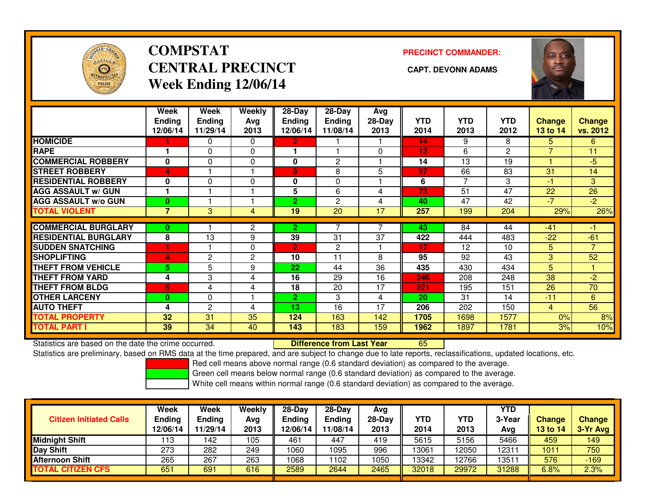

# **COMPSTATCENTRAL PRECINCT** CAPT. DEVONN ADAMS **Week Ending 12/06/14**

**PRECINCT COMMANDER:**



|                             | Week<br><b>Ending</b><br>12/06/14 | Week<br><b>Ending</b><br>11/29/14 | Weekly<br>Ava<br>2013 | $28 - Day$<br>Ending<br>12/06/14 | $28 - Day$<br><b>Ending</b><br>11/08/14 | Avg<br>$28-Day$<br>2013 | <b>YTD</b><br>2014 | <b>YTD</b><br>2013 | <b>YTD</b><br>2012 | <b>Change</b><br>13 to 14 | <b>Change</b><br>vs. 2012 |
|-----------------------------|-----------------------------------|-----------------------------------|-----------------------|----------------------------------|-----------------------------------------|-------------------------|--------------------|--------------------|--------------------|---------------------------|---------------------------|
| <b>HOMICIDE</b>             |                                   | 0                                 | 0                     | 2.                               |                                         |                         | 14                 | 9                  | 8                  | 5.                        | 6                         |
| <b>RAPE</b>                 |                                   | 0                                 | 0                     |                                  |                                         | 0                       | 13                 | 6                  | $\overline{2}$     | $\overline{7}$            | 11                        |
| <b>COMMERCIAL ROBBERY</b>   | $\bf{0}$                          | $\Omega$                          | 0                     | $\mathbf{0}$                     | 2                                       |                         | 14                 | 13                 | 19                 |                           | $-5$                      |
| <b>STREET ROBBERY</b>       | 4                                 |                                   |                       | 9                                | 8                                       | 5                       | 97                 | 66                 | 83                 | 31                        | 14                        |
| <b>RESIDENTIAL ROBBERY</b>  | $\bf{0}$                          | $\Omega$                          | 0                     | $\mathbf{0}$                     | $\Omega$                                |                         | 6                  | $\overline{7}$     | 3                  | $-1$                      | 3                         |
| <b>AGG ASSAULT w/ GUN</b>   |                                   |                                   |                       | 5                                | 6                                       | 4                       | 73                 | 51                 | 47                 | 22                        | 26                        |
| <b>AGG ASSAULT w/o GUN</b>  | $\bf{0}$                          |                                   |                       | 2                                | 2                                       | 4                       | 40                 | 47                 | 42                 | $-7$                      | $-2$                      |
| <b>TOTAL VIOLENT</b>        | 7                                 | 3                                 | 4                     | 19                               | $\overline{20}$                         | 17                      | 257                | 199                | 204                | 29%                       | 26%                       |
| <b>COMMERCIAL BURGLARY</b>  |                                   |                                   |                       |                                  |                                         |                         | 43                 | 84                 | 44                 | $-41$                     |                           |
|                             | 0                                 |                                   | 2                     | 2.                               |                                         |                         |                    |                    |                    |                           |                           |
| <b>RESIDENTIAL BURGLARY</b> | 8                                 | 13                                | 9                     | 39                               | 31                                      | $\overline{37}$         | 422                | 444                | 483                | $-22$                     | $-61$                     |
| <b>ISUDDEN SNATCHING</b>    |                                   |                                   | 0                     | 2                                | 2                                       |                         | 17                 | 12                 | 10                 | 5                         | $\overline{7}$            |
| <b>SHOPLIFTING</b>          | 4                                 | $\overline{2}$                    | $\mathbf{2}$          | 10                               | 11                                      | 8                       | 95                 | 92                 | 43                 | 3                         | 52                        |
| <b>THEFT FROM VEHICLE</b>   | 5.                                | 5                                 | 9                     | 22                               | 44                                      | 36                      | 435                | 430                | 434                | 5                         |                           |
| <b>THEFT FROM YARD</b>      | 4                                 | 3                                 | 4                     | 16                               | 29                                      | 16                      | 246                | 208                | 248                | 38                        | $-2$                      |
| <b>THEFT FROM BLDG</b>      | 6                                 | 4                                 | 4                     | 18                               | 20                                      | 17                      | 221                | 195                | 151                | 26                        | 70                        |
| <b>OTHER LARCENY</b>        | $\bf{0}$                          | 0                                 |                       | 2.                               | 3                                       | 4                       | 20                 | 31                 | 14                 | $-11$                     | 6                         |
| <b>AUTO THEFT</b>           | 4                                 | $\mathbf{2}$                      | 4                     | 13                               | 16                                      | 17                      | 206                | 202                | 150                | 4                         | 56                        |
| <b>TOTAL PROPERTY</b>       | 32                                | 31                                | 35                    | 124                              | 163                                     | 142                     | 1705               | 1698               | 1577               | 0%                        | 8%                        |
| <b>TOTAL PART I</b>         | 39                                | 34                                | 40                    | 143                              | 183                                     | 159                     | 1962               | 1897               | 1781               | 3%                        | 10%                       |

Statistics are based on the date the crime occurred. **Difference from Last Year** 

Statistics are based on the date the crime occurred.<br>Statistics are preliminary, based on RMS data at the time prepared, and are subject to change due to late reports, reclassifications, updated locations, etc.

Red cell means above normal range (0.6 standard deviation) as compared to the average.

Green cell means below normal range (0.6 standard deviation) as compared to the average.

| <b>Citizen Initiated Calls</b> | Week<br><b>Ending</b><br>12/06/14 | <b>Week</b><br>Ending<br>11/29/14 | Weekly<br>Avg<br>2013 | $28-Day$<br><b>Ending</b><br>2/06/14 | 28-Day<br><b>Ending</b><br>11/08/14 | Avg<br>$28-Day$<br>2013 | <b>YTD</b><br>2014 | <b>YTD</b><br>2013 | YTD<br>3-Year<br>Avg | <b>Change</b><br>13 to 14 | <b>Change</b><br>3-Yr Avg |
|--------------------------------|-----------------------------------|-----------------------------------|-----------------------|--------------------------------------|-------------------------------------|-------------------------|--------------------|--------------------|----------------------|---------------------------|---------------------------|
| <b>Midnight Shift</b>          | '13                               | 142                               | 105                   | 461                                  | 447                                 | 419                     | 5615               | 5156               | 5466                 | 459                       | 149                       |
| Day Shift                      | 273                               | 282                               | 249                   | 1060                                 | 1095                                | 996                     | 13061              | 2050               | 12311                | 1011                      | 750                       |
| <b>Afternoon Shift</b>         | 265                               | 267                               | 263                   | 1068                                 | 102                                 | 1050                    | 13342              | 2766               | 13511                | 576                       | $-169$                    |
| <b>TOTAL CITIZEN CFS</b>       | 651                               | 691                               | 616                   | 2589                                 | 2644                                | 2465                    | 32018              | 29972              | 31288                | 6.8%                      | 2.3%                      |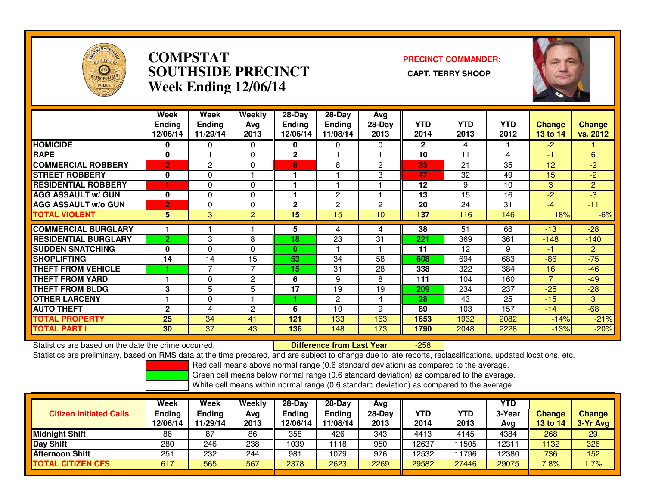

## **COMPSTAT PRECINCT COMMANDER: SOUTHSIDE PRECINCT CAPT. TERRY SHOOPWeek Ending 12/06/14**



|                             | Week<br><b>Ending</b><br>12/06/14 | Week<br><b>Ending</b><br>11/29/14 | <b>Weekly</b><br>Avg<br>2013 | $28$ -Day<br><b>Ending</b><br>12/06/14 | $28-Day$<br><b>Ending</b><br>11/08/14 | Avg<br>28-Day<br>2013 | <b>YTD</b><br>2014 | <b>YTD</b><br>2013 | <b>YTD</b><br>2012 | Change<br>13 to 14 | <b>Change</b><br>vs. 2012 |
|-----------------------------|-----------------------------------|-----------------------------------|------------------------------|----------------------------------------|---------------------------------------|-----------------------|--------------------|--------------------|--------------------|--------------------|---------------------------|
| <b>HOMICIDE</b>             | 0                                 | 0                                 | $\Omega$                     | 0                                      | 0                                     | $\Omega$              | $\overline{2}$     | 4                  |                    | $-2$               |                           |
| <b>RAPE</b>                 | 0                                 |                                   | 0                            | $\mathbf 2$                            |                                       |                       | 10                 | 11                 | 4                  | $-1$               | 6                         |
| <b>COMMERCIAL ROBBERY</b>   | $\overline{2}$                    | 2                                 | $\Omega$                     | 8                                      | 8                                     | $\overline{2}$        | 33                 | 21                 | 35                 | 12                 | $-2$                      |
| <b>STREET ROBBERY</b>       | 0                                 | 0                                 |                              |                                        |                                       | 3                     | 47                 | 32                 | 49                 | 15                 | $-2$                      |
| <b>RESIDENTIAL ROBBERY</b>  |                                   | $\Omega$                          | $\Omega$                     |                                        |                                       |                       | 12                 | 9                  | 10                 | 3                  | $\overline{2}$            |
| <b>AGG ASSAULT w/ GUN</b>   | 0                                 | $\Omega$                          | $\Omega$                     |                                        | $\mathbf{2}$                          |                       | 13                 | $\overline{15}$    | 16                 | $-2$               | $-3$                      |
| <b>AGG ASSAULT w/o GUN</b>  | 2                                 | 0                                 | $\Omega$                     | $\mathbf{2}$                           | 2                                     | 2                     | 20                 | 24                 | 31                 | $-4$               | $-11$                     |
| <b>TOTAL VIOLENT</b>        | 5                                 | 3                                 | $\overline{c}$               | 15                                     | 15                                    | 10                    | 137                | 116                | 146                | 18%                | $-6%$                     |
| <b>COMMERCIAL BURGLARY</b>  |                                   |                                   |                              | 5                                      | 4                                     | 4                     | 38                 | 51                 | 66                 | $-13$              | $-28$                     |
| <b>RESIDENTIAL BURGLARY</b> | $\overline{2}$                    | 3                                 | 8                            | 18                                     | 23                                    | 31                    | 221                | 369                | 361                | $-148$             | $-140$                    |
| <b>SUDDEN SNATCHING</b>     | $\bf{0}$                          | $\Omega$                          | 0                            | 0                                      |                                       |                       | 11                 | 12                 | 9                  | -1                 | $\overline{2}$            |
| <b>ISHOPLIFTING</b>         | 14                                | 14                                | 15                           | 53                                     | 34                                    | 58                    | 608                | 694                | 683                | $-86$              | $-75$                     |
| <b>THEFT FROM VEHICLE</b>   |                                   | $\overline{\phantom{a}}$          | 7                            | 15                                     | 31                                    | 28                    | 338                | 322                | 384                | 16                 | $-46$                     |
| <b>THEFT FROM YARD</b>      |                                   | $\Omega$                          | 2                            | 6                                      | 9                                     | 8                     | 111                | 104                | 160                | $\overline{7}$     | $-49$                     |
| <b>THEFT FROM BLDG</b>      | 3                                 | 5                                 | 5                            | 17                                     | 19                                    | 19                    | 209                | 234                | 237                | $-25$              | $-28$                     |
| <b>OTHER LARCENY</b>        |                                   | $\Omega$                          |                              |                                        | $\overline{2}$                        | 4                     | 28                 | 43                 | 25                 | $-15$              | 3                         |
| <b>AUTO THEFT</b>           | $\mathbf{2}$                      | 4                                 | 2                            | 6                                      | 10                                    | 9                     | 89                 | 103                | 157                | $-14$              | $-68$                     |
| <b>TOTAL PROPERTY</b>       | 25                                | 34                                | 41                           | 121                                    | 133                                   | 163                   | 1653               | 1932               | 2082               | $-14%$             | $-21%$                    |
| <b>TOTAL PART I</b>         | 30                                | 37                                | 43                           | 136                                    | 148                                   | 173                   | 1790               | 2048               | 2228               | $-13%$             | $-20%$                    |

Statistics are based on the date the crime occurred. **Difference from Last Year** 

-258

Statistics are preliminary, based on RMS data at the time prepared, and are subject to change due to late reports, reclassifications, updated locations, etc.

Red cell means above normal range (0.6 standard deviation) as compared to the average.

Green cell means below normal range (0.6 standard deviation) as compared to the average.

| <b>Citizen Initiated Calls</b> | Week<br><b>Ending</b><br>12/06/14 | Week<br><b>Ending</b><br>11/29/14 | Weekly<br>Avg<br>2013 | $28$ -Dav<br>Ending<br>2/06/14 | $28-Dav$<br><b>Ending</b><br>11/08/14 | Avg<br>$28-Day$<br>2013 | <b>YTD</b><br>2014 | YTD<br>2013 | <b>YTD</b><br>3-Year<br>Avg | <b>Change</b><br>13 to 14 | <b>Change</b><br>3-Yr Avg |
|--------------------------------|-----------------------------------|-----------------------------------|-----------------------|--------------------------------|---------------------------------------|-------------------------|--------------------|-------------|-----------------------------|---------------------------|---------------------------|
| <b>Midnight Shift</b>          | 86                                | 87                                | 86                    | 358                            | 426                                   | 343                     | 4413               | 4145        | 4384                        | 268                       | 29                        |
| <b>Day Shift</b>               | 280                               | 246                               | 238                   | 1039                           | 118                                   | 950                     | 12637              | 1505        | 12311                       | 1132                      | 326                       |
| <b>Afternoon Shift</b>         | 251                               | 232                               | 244                   | 981                            | 1079                                  | 976                     | 12532              | 1796        | 12380                       | 736                       | 152                       |
| <b>TOTAL CITIZEN CFS</b>       | 617                               | 565                               | 567                   | 2378                           | 2623                                  | 2269                    | 29582              | 27446       | 29075                       | 7.8%                      | .7%                       |
|                                |                                   |                                   |                       |                                |                                       |                         |                    |             |                             |                           |                           |